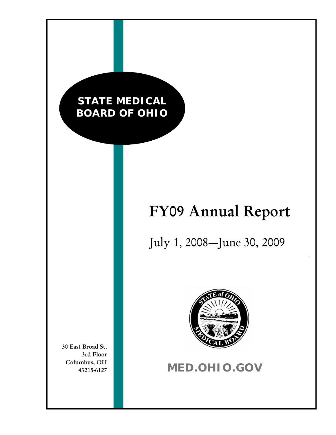## **STATE MEDICAL BOARD OF OHIO**

# FY09 Annual Report

July 1, 2008—June 30, 2009



### **MED.OHIO.GOV**

30 East Broad St. 3rd Floor Columbus, OH 43215-6127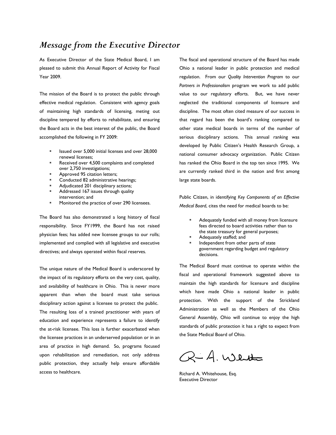### *Message from the Executive Director*

As Executive Director of the State Medical Board, I am pleased to submit this Annual Report of Activity for Fiscal Year 2009.

The mission of the Board is to protect the public through effective medical regulation. Consistent with agency goals of maintaining high standards of licensing, meting out discipline tempered by efforts to rehabilitate, and ensuring the Board acts in the best interest of the public, the Board accomplished the following in FY 2009:

- Issued over 5,000 initial licenses and over 28,000 renewal licenses;
- Received over 4,500 complaints and completed over 2,750 investigations;
- Approved 95 citation letters;
- Conducted 82 administrative hearings;
- Adjudicated 201 disciplinary actions;
- Addressed 167 issues through quality intervention; and
- Monitored the practice of over 290 licensees.

The Board has also demonstrated a long history of fiscal responsibility. Since FY1999, the Board has not raised physician fees; has added new licensee groups to our rolls; implemented and complied with all legislative and executive directives; and always operated within fiscal reserves.

The unique nature of the Medical Board is underscored by the impact of its regulatory efforts on the very cost, quality, and availability of healthcare in Ohio. This is never more apparent than when the board must take serious disciplinary action against a licensee to protect the public. The resulting loss of a trained practitioner with years of education and experience represents a failure to identify the at-risk licensee. This loss is further exacerbated when the licensee practices in an underserved population or in an area of practice in high demand. So, programs focused upon rehabilitation and remediation, not only address public protection, they actually help ensure affordable access to healthcare.

The fiscal and operational structure of the Board has made Ohio a national leader in public protection and medical regulation. From our *Quality Intervention Program* to our *Partners in Professionalism* program we work to add public value to our regulatory efforts. But, we have never neglected the traditional components of licensure and discipline. The most often cited measure of our success in that regard has been the board's ranking compared to other state medical boards in terms of the number of serious disciplinary actions. This annual ranking was developed by Public Citizen's Health Research Group, a national consumer advocacy organization. Public Citizen has ranked the Ohio Board in the top ten since 1995. We are currently ranked third in the nation and first among large state boards.

Public Citizen, in identifying *Key Components of an Effective Medical Board*, cites the need for medical boards to be:

- Adequately funded with all money from licensure fees directed to board activities rather than to the state treasury for general purposes;
- Adequately staffed; and
- Independent from other parts of state government regarding budget and regulatory decisions.

The Medical Board must continue to operate within the fiscal and operational framework suggested above to maintain the high standards for licensure and discipline which have made Ohio a national leader in public protection. With the support of the Strickland Administration as well as the Members of the Ohio General Assembly, Ohio will continue to enjoy the high standards of public protection it has a right to expect from the State Medical Board of Ohio.

Q-A. Wlite

Richard A. Whitehouse, Esq. Executive Director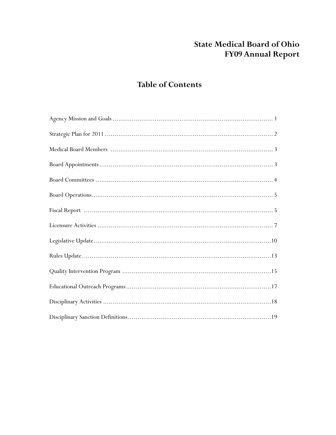### **State Medical Board of Ohio FY09 Annual Report**

### **Table of Contents**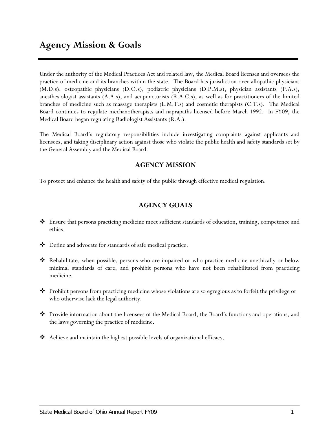Under the authority of the Medical Practices Act and related law, the Medical Board licenses and oversees the practice of medicine and its branches within the state. The Board has jurisdiction over allopathic physicians (M.D.s), osteopathic physicians (D.O.s), podiatric physicians (D.P.M.s), physician assistants (P.A.s), anesthesiologist assistants (A.A.s), and acupuncturists (R.A.C.s), as well as for practitioners of the limited branches of medicine such as massage therapists (L.M.T.s) and cosmetic therapists (C.T.s). The Medical Board continues to regulate mechanotherapists and naprapaths licensed before March 1992. In FY09, the Medical Board began regulating Radiologist Assistants (R.A.).

The Medical Board's regulatory responsibilities include investigating complaints against applicants and licensees, and taking disciplinary action against those who violate the public health and safety standards set by the General Assembly and the Medical Board.

### **AGENCY MISSION**

To protect and enhance the health and safety of the public through effective medical regulation.

### **AGENCY GOALS**

- Ensure that persons practicing medicine meet sufficient standards of education, training, competence and ethics.
- Define and advocate for standards of safe medical practice.
- Rehabilitate, when possible, persons who are impaired or who practice medicine unethically or below minimal standards of care, and prohibit persons who have not been rehabilitated from practicing medicine.
- Prohibit persons from practicing medicine whose violations are so egregious as to forfeit the privilege or who otherwise lack the legal authority.
- Provide information about the licensees of the Medical Board, the Board's functions and operations, and the laws governing the practice of medicine.
- Achieve and maintain the highest possible levels of organizational efficacy.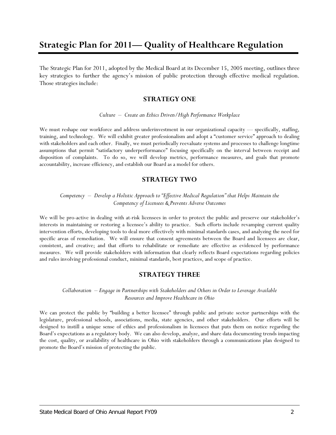### **Strategic Plan for 2011— Quality of Healthcare Regulation**

The Strategic Plan for 2011, adopted by the Medical Board at its December 15, 2005 meeting, outlines three key strategies to further the agency's mission of public protection through effective medical regulation. Those strategies include:

#### **STRATEGY ONE**

*Culture – Create an Ethics Driven/High Performance Workplace* 

We must reshape our workforce and address underinvestment in our organizational capacity — specifically, staffing, training, and technology. We will exhibit greater professionalism and adopt a "customer service" approach to dealing with stakeholders and each other. Finally, we must periodically reevaluate systems and processes to challenge longtime assumptions that permit "satisfactory underperformance" focusing specifically on the interval between receipt and disposition of complaints. To do so, we will develop metrics, performance measures, and goals that promote accountability, increase efficiency, and establish our Board as a model for others.

#### **STRATEGY TWO**

#### *Competency – Develop a Holistic Approach to "Effective Medical Regulation" that Helps Maintain the Competency of Licensees & Prevents Adverse Outcomes*

We will be pro-active in dealing with at-risk licensees in order to protect the public and preserve our stakeholder's interests in maintaining or restoring a licensee's ability to practice. Such efforts include revamping current quality intervention efforts, developing tools to deal more effectively with minimal standards cases, and analyzing the need for specific areas of remediation. We will ensure that consent agreements between the Board and licensees are clear, consistent, and creative; and that efforts to rehabilitate or remediate are effective as evidenced by performance measures. We will provide stakeholders with information that clearly reflects Board expectations regarding policies and rules involving professional conduct, minimal standards, best practices, and scope of practice.

#### **STRATEGY THREE**

#### *Collaboration – Engage in Partnerships with Stakeholders and Others in Order to Leverage Available Resources and Improve Healthcare in Ohio*

We can protect the public by "building a better licensee" through public and private sector partnerships with the legislature, professional schools, associations, media, state agencies, and other stakeholders. Our efforts will be designed to instill a unique sense of ethics and professionalism in licensees that puts them on notice regarding the Board's expectations as a regulatory body. We can also develop, analyze, and share data documenting trends impacting the cost, quality, or availability of healthcare in Ohio with stakeholders through a communications plan designed to promote the Board's mission of protecting the public.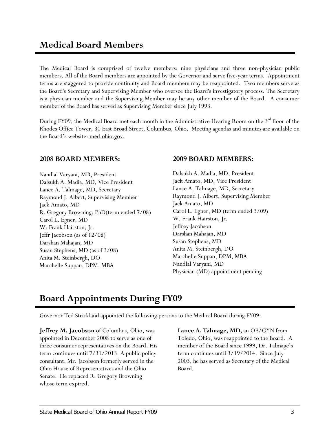The Medical Board is comprised of twelve members: nine physicians and three non-physician public members. All of the Board members are appointed by the Governor and serve five-year terms. Appointment terms are staggered to provide continuity and Board members may be reappointed. Two members serve as the Board's Secretary and Supervising Member who oversee the Board's investigatory process. The Secretary is a physician member and the Supervising Member may be any other member of the Board. A consumer member of the Board has served as Supervising Member since July 1993.

During FY09, the Medical Board met each month in the Administrative Hearing Room on the 3<sup>rd</sup> floor of the Rhodes Office Tower, 30 East Broad Street, Columbus, Ohio. Meeting agendas and minutes are available on the Board's website: med.ohio.gov.

### **2008 BOARD MEMBERS:**

Nandlal Varyani, MD, President Dalsukh A. Madia, MD, Vice President Lance A. Talmage, MD, Secretary Raymond J. Albert, Supervising Member Jack Amato, MD R. Gregory Browning, PhD(term ended 7/08) Carol L. Egner, MD W. Frank Hairston, Jr. Jeffr Jacobson (as of 12/08) Darshan Mahajan, MD Susan Stephens, MD (as of 3/08) Anita M. Steinbergh, DO Marchelle Suppan, DPM, MBA

### **2009 BOARD MEMBERS:**

Dalsukh A. Madia, MD, President Jack Amato, MD, Vice President Lance A. Talmage, MD, Secretary Raymond J. Albert, Supervising Member Jack Amato, MD Carol L. Egner, MD (term ended 3/09) W. Frank Hairston, Jr. Jeffrey Jacobson Darshan Mahajan, MD Susan Stephens, MD Anita M. Steinbergh, DO Marchelle Suppan, DPM, MBA Nandlal Varyani, MD Physician (MD) appointment pending

### **Board Appointments During FY09**

Governor Ted Strickland appointed the following persons to the Medical Board during FY09:

**Jeffrey M. Jacobson** of Columbus, Ohio, was appointed in December 2008 to serve as one of three consumer representatives on the Board. His term continues until 7/31/2013. A public policy consultant, Mr. Jacobson formerly served in the Ohio House of Representatives and the Ohio Senate. He replaced R. Gregory Browning whose term expired.

**Lance A. Talmage, MD,** an OB/GYN from Toledo, Ohio, was reappointed to the Board. A member of the Board since 1999, Dr. Talmage's term continues until 3/19/2014. Since July 2003, he has served as Secretary of the Medical Board.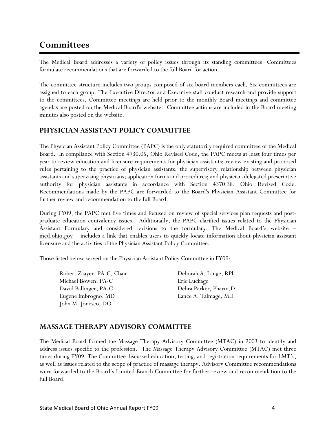### **Committees**

The Medical Board addresses a variety of policy issues through its standing committees. Committees formulate recommendations that are forwarded to the full Board for action.

The committee structure includes two groups composed of six board members each. Six committees are assigned to each group. The Executive Director and Executive staff conduct research and provide support to the committees. Committee meetings are held prior to the monthly Board meetings and committee agendas are posted on the Medical Board's website. Committee actions are included in the Board meeting minutes also posted on the website.

### **PHYSICIAN ASSISTANT POLICY COMMITTEE**

The Physician Assistant Policy Committee (PAPC) is the only statutorily required committee of the Medical Board. In compliance with Section 4730.05, Ohio Revised Code, the PAPC meets at least four times per year to review education and licensure requirements for physician assistants; review existing and proposed rules pertaining to the practice of physician assistants; the supervisory relationship between physician assistants and supervising physicians; application forms and procedures; and physician-delegated prescriptive authority for physician assistants in accordance with Section 4370.38, Ohio Revised Code. Recommendations made by the PAPC are forwarded to the Board's Physician Assistant Committee for further review and recommendation to the full Board.

During FY09, the PAPC met five times and focused on review of special services plan requests and postgraduate education equivalency issues. Additionally, the PAPC clarified issues related to the Physician Assistant Formulary and considered revisions to the formulary. The Medical Board's website –  $med.ohio.gov - includes a link that enables users to quickly locate information about physician assistant$ </u> licensure and the activities of the Physician Assistant Policy Committee.

Those listed below served on the Physician Assistant Policy Committee in FY09:

Robert Zaayer, PA-C, Chair Deborah A. Lange, RPh Michael Bowen, PA-C Eric Luckage David Ballinger, PA-C Debra Parker, Pharm.D Eugene Imbrogno, MD Lance A. Talmage, MD John M. Jonesco, DO

### **MASSAGE THERAPY ADVISORY COMMITTEE**

The Medical Board formed the Massage Therapy Advisory Committee (MTAC) in 2003 to identify and address issues specific to the profession. The Massage Therapy Advisory Committee (MTAC) met three times during FY09. The Committee discussed education, testing, and registration requirements for LMT's, as well as issues related to the scope of practice of massage therapy. Advisory Committee recommendations were forwarded to the Board's Limited Branch Committee for further review and recommendation to the full Board.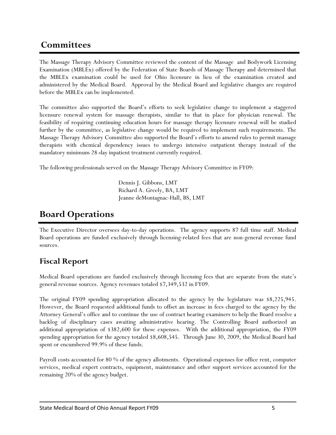### **Committees**

The Massage Therapy Advisory Committee reviewed the content of the Massage and Bodywork Licensing Examination (MBLEx) offered by the Federation of State Boards of Massage Therapy and determined that the MBLEx examination could be used for Ohio licensure in lieu of the examination created and administered by the Medical Board. Approval by the Medical Board and legislative changes are required before the MBLEx can be implemented.

The committee also supported the Board's efforts to seek legislative change to implement a staggered licensure renewal system for massage therapists, similar to that in place for physician renewal. The feasibility of requiring continuing education hours for massage therapy licensure renewal will be studied further by the committee, as legislative change would be required to implement such requirements. The Massage Therapy Advisory Committee also supported the Board's efforts to amend rules to permit massage therapists with chemical dependency issues to undergo intensive outpatient therapy instead of the mandatory minimum 28-day inpatient treatment currently required.

The following professionals served on the Massage Therapy Advisory Committee in FY09:

Dennis J. Gibbons, LMT Richard A. Greely, BA, LMT Jeanne deMontagnac-Hall, BS, LMT

### **Board Operations**

The Executive Director oversees day-to-day operations. The agency supports 87 full time staff. Medical Board operations are funded exclusively through licensing-related fees that are non-general revenue fund sources.

### **Fiscal Report**

Medical Board operations are funded exclusively through licensing fees that are separate from the state's general revenue sources. Agency revenues totaled \$7,349,532 in FY09.

The original FY09 spending appropriation allocated to the agency by the legislature was \$8,225,945. However, the Board requested additional funds to offset an increase in fees charged to the agency by the Attorney General's office and to continue the use of contract hearing examiners to help the Board resolve a backlog of disciplinary cases awaiting administrative hearing. The Controlling Board authorized an additional appropriation of \$382,600 for these expenses. With the additional appropriation, the FY09 spending appropriation for the agency totaled \$8,608,545. Through June 30, 2009, the Medical Board had spent or encumbered 99.9% of these funds.

Payroll costs accounted for 80 % of the agency allotments. Operational expenses for office rent, computer services, medical expert contracts, equipment, maintenance and other support services accounted for the remaining 20% of the agency budget.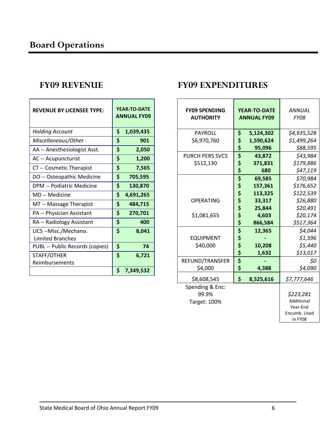$\mathbf{r}$ 

| <b>REVENUE BY LICENSEE TYPE:</b>                 | <b>YEAR-TO-DATE</b><br><b>ANNUAL FY09</b> |
|--------------------------------------------------|-------------------------------------------|
| <b>Holding Account</b>                           | \$<br>1,039,435                           |
| Miscellaneous/Other                              | \$<br>901                                 |
| AA -- Anesthesiologist Asst.                     | \$<br>2,050                               |
| AC -- Acupuncturist                              | \$<br>1,200                               |
| CT -- Cosmetic Therapist                         | \$<br>7,565                               |
| DO -- Osteopathic Medicine                       | \$<br>705,595                             |
| DPM -- Podiatric Medicine                        | \$<br>130,870                             |
| MD -- Medicine                                   | \$<br>4,691,265                           |
| MT -- Massage Therapist                          | \$<br>484,715                             |
| PA -- Physician Assistant                        | \$<br>270,701                             |
| RA -- Radiology Assistant                        | \$<br>400                                 |
| LICS --Misc./Mechano.<br><b>Limited Branches</b> | \$<br>8,041                               |
| PUBL -- Public Records (copies)                  | \$<br>74                                  |
| STAFF/OTHER<br>Reimbursements                    | \$<br>6,721                               |
|                                                  | \$<br>7,349,532                           |

m.

### **FY09 REVENUE FY09 EXPENDITURES**

| <b>FY09 SPENDING</b><br><b>AUTHORITY</b>        |                               | <b>YEAR-TO-DATE</b><br><b>ANNUAL FY09</b> | <b>ANNUAL</b><br><b>FY08</b>                                   |
|-------------------------------------------------|-------------------------------|-------------------------------------------|----------------------------------------------------------------|
| <b>PAYROLL</b>                                  | \$                            | 5,124,302                                 | \$4,935,528                                                    |
| \$6,970,760                                     | \$                            | 1,590,624                                 | \$1,499,264                                                    |
|                                                 | \$                            | 95,096                                    | \$88,595                                                       |
| <b>PURCH PERS SVCS</b>                          |                               | 43,872                                    | \$43,984                                                       |
| \$512,130                                       | \$                            | 371,831                                   | \$179,886                                                      |
|                                                 | \$                            | 680                                       | \$47,119                                                       |
|                                                 | \$                            | 69,585                                    | \$70,984                                                       |
|                                                 | \$                            | 157,361                                   | \$176,652                                                      |
|                                                 | \$                            | 113,325                                   | \$122,539                                                      |
| OPERATING                                       | \$                            | 33,317                                    | \$26,880                                                       |
|                                                 |                               | 25,844                                    | \$20,491                                                       |
| \$1,081,655                                     | \$\$\$                        | 4,603                                     | \$20,174                                                       |
|                                                 |                               | 866,584                                   | \$517,364                                                      |
|                                                 | $\overline{\boldsymbol{\xi}}$ | 12,365                                    | \$4,044                                                        |
| <b>EQUIPMENT</b>                                |                               |                                           | \$1,596                                                        |
| \$40,000                                        |                               | 10,208                                    | \$5,440                                                        |
|                                                 | \$\$\$\$                      | 1,632                                     | \$13,017                                                       |
| REFUND/TRANSFER                                 |                               |                                           | \$0                                                            |
| \$4,000                                         | \$                            | 4,388                                     | \$4,090                                                        |
| \$8,608,545                                     | \$                            | 8,525,616                                 | \$7,777,646                                                    |
| Spending & Enc:<br>99.9%<br><b>Target: 100%</b> |                               |                                           | \$223,281<br>Additional<br>Year-End<br>Encumb. Used<br>in FY08 |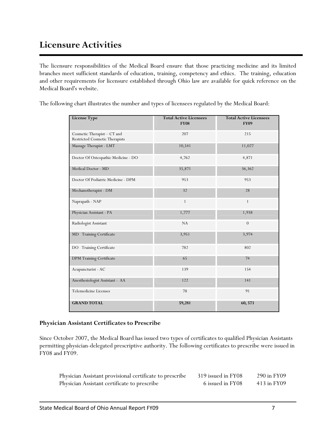The licensure responsibilities of the Medical Board ensure that those practicing medicine and its limited branches meet sufficient standards of education, training, competency and ethics. The training, education and other requirements for licensure established through Ohio law are available for quick reference on the Medical Board's website.

The following chart illustrates the number and types of licensees regulated by the Medical Board:

| <b>License Type</b>                                           | <b>Total Active Licensees</b><br><b>FY08</b> | <b>Total Active Licensees</b><br><b>FY09</b> |
|---------------------------------------------------------------|----------------------------------------------|----------------------------------------------|
| Cosmetic Therapist - CT and<br>Restricted Cosmetic Therapists | 207                                          | 215                                          |
| Massage Therapist - LMT                                       | 10,541                                       | 11,027                                       |
| Doctor Of Osteopathic Medicine - DO                           | 4,762                                        | 4,871                                        |
| Medical Doctor - MD                                           | 35,871                                       | 36,362                                       |
| Doctor Of Podiatric Medicine - DPM                            | 953                                          | 953                                          |
| Mechanotherapist - DM                                         | 32                                           | 28                                           |
| Naprapath - NAP                                               | $\mathbf{1}$                                 | $\mathbf{1}$                                 |
| Physician Assistant - PA                                      | 1,777                                        | 1,938                                        |
| Radiologist Assistant                                         | NA                                           | $\theta$                                     |
| MD Training Certificate                                       | 3,951                                        | 3,974                                        |
| DO Training Certificate                                       | 782                                          | 802                                          |
| DPM Training Certificate                                      | 65                                           | 74                                           |
| Acupuncturist - AC                                            | 139                                          | 154                                          |
| Anesthesiologist Assistant - AA                               | 122                                          | 141                                          |
| Telemedicine Licenses                                         | 78                                           | 91                                           |
| <b>GRAND TOTAL</b>                                            | 59,281                                       | 60, 573                                      |

#### **Physician Assistant Certificates to Prescribe**

Since October 2007, the Medical Board has issued two types of certificates to qualified Physician Assistants permitting physician-delegated prescriptive authority. The following certificates to prescribe were issued in FY08 and FY09.

| Physician Assistant provisional certificate to prescribe | 319 issued in FY08 | 290 in FY09 |
|----------------------------------------------------------|--------------------|-------------|
| Physician Assistant certificate to prescribe             | 6 issued in FY08   | 413 in FY09 |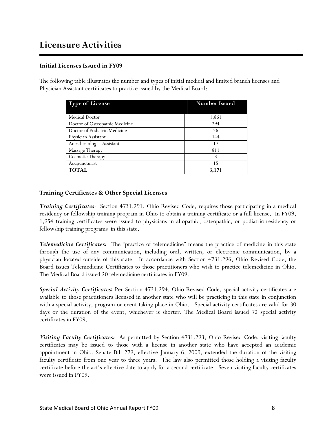#### **Initial Licenses Issued in FY09**

The following table illustrates the number and types of initial medical and limited branch licenses and Physician Assistant certificates to practice issued by the Medical Board:

| <b>Type of License</b>         | <b>Number Issued</b> |
|--------------------------------|----------------------|
|                                |                      |
| Medical Doctor                 | 1,861                |
| Doctor of Osteopathic Medicine | 294                  |
| Doctor of Podiatric Medicine   | 26                   |
| Physician Assistant            | 144                  |
| Anesthesiologist Assistant     | 17                   |
| Massage Therapy                | 811                  |
| Cosmetic Therapy               | 3                    |
| Acupuncturist                  | 15                   |
| <b>TOTAL</b>                   | 3,171                |

#### **Training Certificates & Other Special Licenses**

*Training Certificates:* Section 4731.291, Ohio Revised Code, requires those participating in a medical residency or fellowship training program in Ohio to obtain a training certificate or a full license. In FY09, 1,954 training certificates were issued to physicians in allopathic, osteopathic, or podiatric residency or fellowship training programs in this state.

*Telemedicine Certificates:* The "practice of telemedicine" means the practice of medicine in this state through the use of any communication, including oral, written, or electronic communication, by a physician located outside of this state. In accordance with Section 4731.296, Ohio Revised Code, the Board issues Telemedicine Certificates to those practitioners who wish to practice telemedicine in Ohio. The Medical Board issued 20 telemedicine certificates in FY09.

*Special Activity Certificates***:** Per Section 4731.294, Ohio Revised Code, special activity certificates are available to those practitioners licensed in another state who will be practicing in this state in conjunction with a special activity, program or event taking place in Ohio. Special activity certificates are valid for 30 days or the duration of the event, whichever is shorter. The Medical Board issued 72 special activity certificates in FY09.

*Visiting Faculty Certificates:* As permitted by Section 4731.293, Ohio Revised Code, visiting faculty certificates may be issued to those with a license in another state who have accepted an academic appointment in Ohio. Senate Bill 279, effective January 6, 2009, extended the duration of the visiting faculty certificate from one year to three years. The law also permitted those holding a visiting faculty certificate before the act's effective date to apply for a second certificate. Seven visiting faculty certificates were issued in FY09.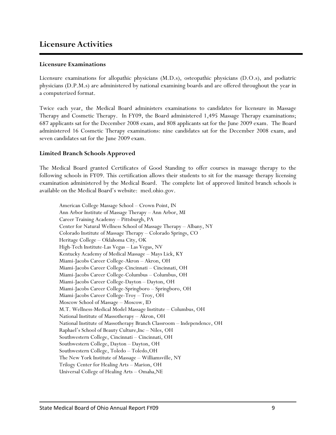#### **Licensure Examinations**

Licensure examinations for allopathic physicians (M.D.s), osteopathic physicians (D.O.s), and podiatric physicians (D.P.M.s) are administered by national examining boards and are offered throughout the year in a computerized format.

Twice each year, the Medical Board administers examinations to candidates for licensure in Massage Therapy and Cosmetic Therapy. In FY09, the Board administered 1,495 Massage Therapy examinations; 687 applicants sat for the December 2008 exam, and 808 applicants sat for the June 2009 exam. The Board administered 16 Cosmetic Therapy examinations: nine candidates sat for the December 2008 exam, and seven candidates sat for the June 2009 exam.

#### **Limited Branch Schools Approved**

The Medical Board granted Certificates of Good Standing to offer courses in massage therapy to the following schools in FY09. This certification allows their students to sit for the massage therapy licensing examination administered by the Medical Board. The complete list of approved limited branch schools is available on the Medical Board's website: med.ohio.gov.

American College Massage School – Crown Point, IN Ann Arbor Institute of Massage Therapy – Ann Arbor, MI Career Training Academy – Pittsburgh, PA Center for Natural Wellness School of Massage Therapy – Albany, NY Colorado Institute of Massage Therapy – Colorado Springs, CO Heritage College – Oklahoma City, OK High-Tech Institute-Las Vegas – Las Vegas, NV Kentucky Academy of Medical Massage – Mays Lick, KY Miami-Jacobs Career College-Akron – Akron, OH Miami-Jacobs Career College-Cincinnati – Cincinnati, OH Miami-Jacobs Career College-Columbus – Columbus, OH Miami-Jacobs Career College-Dayton – Dayton, OH Miami-Jacobs Career College-Springboro – Springboro, OH Miami-Jacobs Career College-Troy – Troy, OH Moscow School of Massage – Moscow, ID M.T. Wellness-Medical Model Massage Institute – Columbus, OH National Institute of Massotherapy – Akron, OH National Institute of Massotherapy Branch Classroom – Independence, OH Raphael's School of Beauty Culture,Inc – Niles, OH Southwestern College, Cincinnati – Cincinnati, OH Southwestern College, Dayton – Dayton, OH Southwestern College, Toledo – Toledo,OH The New York Institute of Massage – Williamsville, NY Trilogy Center for Healing Arts – Marion, OH Universal College of Healing Arts – Omaha,NE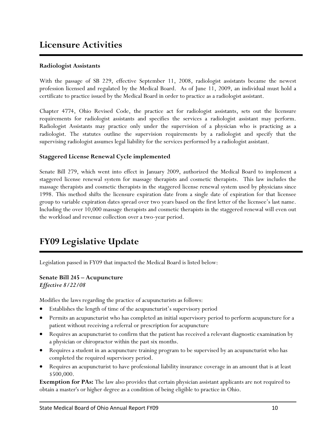#### **Radiologist Assistants**

With the passage of SB 229, effective September 11, 2008, radiologist assistants became the newest profession licensed and regulated by the Medical Board. As of June 11, 2009, an individual must hold a certificate to practice issued by the Medical Board in order to practice as a radiologist assistant.

Chapter 4774, Ohio Revised Code, the practice act for radiologist assistants, sets out the licensure requirements for radiologist assistants and specifies the services a radiologist assistant may perform. Radiologist Assistants may practice only under the supervision of a physician who is practicing as a radiologist. The statutes outline the supervision requirements by a radiologist and specify that the supervising radiologist assumes legal liability for the services performed by a radiologist assistant.

#### **Staggered License Renewal Cycle implemented**

Senate Bill 279, which went into effect in January 2009, authorized the Medical Board to implement a staggered license renewal system for massage therapists and cosmetic therapists. This law includes the massage therapists and cosmetic therapists in the staggered license renewal system used by physicians since 1998. This method shifts the licensure expiration date from a single date of expiration for that licensee group to variable expiration dates spread over two years based on the first letter of the licensee's last name. Including the over 10,000 massage therapists and cosmetic therapists in the staggered renewal will even out the workload and revenue collection over a two-year period.

### **FY09 Legislative Update**

Legislation passed in FY09 that impacted the Medical Board is listed below:

### **Senate Bill 245 – Acupuncture**

*Effective 8/22/08* 

Modifies the laws regarding the practice of acupuncturists as follows:

- Establishes the length of time of the acupuncturist's supervisory period
- Permits an acupuncturist who has completed an initial supervisory period to perform acupuncture for a patient without receiving a referral or prescription for acupuncture
- Requires an acupuncturist to confirm that the patient has received a relevant diagnostic examination by a physician or chiropractor within the past six months.
- Requires a student in an acupuncture training program to be supervised by an acupuncturist who has completed the required supervisory period.
- Requires an acupuncturist to have professional liability insurance coverage in an amount that is at least \$500,000.

**Exemption for PAs:** The law also provides that certain physician assistant applicants are not required to obtain a master's or higher degree as a condition of being eligible to practice in Ohio.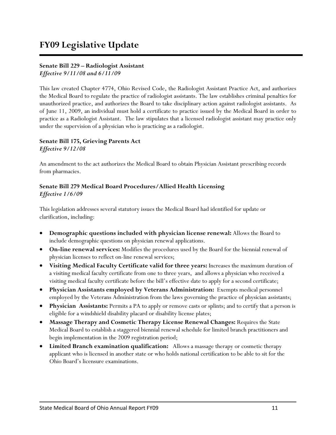### **Senate Bill 229 – Radiologist Assistant**

*Effective 9/11/08 and 6/11/09* 

This law created Chapter 4774, Ohio Revised Code, the Radiologist Assistant Practice Act, and authorizes the Medical Board to regulate the practice of radiologist assistants. The law establishes criminal penalties for unauthorized practice, and authorizes the Board to take disciplinary action against radiologist assistants. As of June 11, 2009, an individual must hold a certificate to practice issued by the Medical Board in order to practice as a Radiologist Assistant. The law stipulates that a licensed radiologist assistant may practice only under the supervision of a physician who is practicing as a radiologist.

### **Senate Bill 175, Grieving Parents Act**  *Effective 9/12/08*

An amendment to the act authorizes the Medical Board to obtain Physician Assistant prescribing records from pharmacies.

### **Senate Bill 279 Medical Board Procedures/Allied Health Licensing**  *Effective 1/6/09*

This legislation addresses several statutory issues the Medical Board had identified for update or clarification, including:

- **Demographic questions included with physician license renewal:** Allows the Board to include demographic questions on physician renewal applications.
- **On-line renewal services:** Modifies the procedures used by the Board for the biennial renewal of physician licenses to reflect on-line renewal services;
- **Visiting Medical Faculty Certificate valid for three years:** Increases the maximum duration of a visiting medical faculty certificate from one to three years, and allows a physician who received a visiting medical faculty certificate before the bill's effective date to apply for a second certificate;
- **Physician Assistants employed by Veterans Administration:** Exempts medical personnel employed by the Veterans Administration from the laws governing the practice of physician assistants;
- **Physician Assistants:** Permits a PA to apply or remove casts or splints; and to certify that a person is eligible for a windshield disability placard or disability license plates;
- **Massage Therapy and Cosmetic Therapy License Renewal Changes:** Requires the State Medical Board to establish a staggered biennial renewal schedule for limited branch practitioners and begin implementation in the 2009 registration period;
- **Limited Branch examination qualification:** Allows a massage therapy or cosmetic therapy applicant who is licensed in another state or who holds national certification to be able to sit for the Ohio Board's licensure examinations.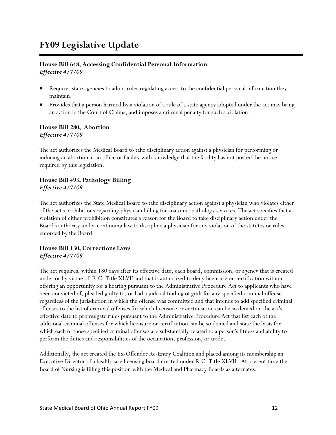### **FY09 Legislative Update**

### **House Bill 648, Accessing Confidential Personal Information**

*Effective 4/7/09* 

- Requires state agencies to adopt rules regulating access to the confidential personal information they maintain.
- Provides that a person harmed by a violation of a rule of a state agency adopted under the act may bring an action in the Court of Claims, and imposes a criminal penalty for such a violation.

#### **House Bill 280, Abortion**  *Effective 4/7/09*

The act authorizes the Medical Board to take disciplinary action against a physician for performing or inducing an abortion at an office or facility with knowledge that the facility has not posted the notice required by this legislation.

### **House Bill 493, Pathology Billing**  *Effective 4/7/09*

The act authorizes the State Medical Board to take disciplinary action against a physician who violates either of the act's prohibitions regarding physician billing for anatomic pathology services. The act specifies that a violation of either prohibition constitutes a reason for the Board to take disciplinary action under the Board's authority under continuing law to discipline a physician for any violation of the statutes or rules enforced by the Board.

#### **House Bill 130, Corrections Laws**  *Effective 4/7/09*

The act requires, within 180 days after its effective date, each board, commission, or agency that is created under or by virtue of R.C. Title XLVII and that is authorized to deny licensure or certification without offering an opportunity for a hearing pursuant to the Administrative Procedure Act to applicants who have been convicted of, pleaded guilty to, or had a judicial finding of guilt for any specified criminal offense regardless of the jurisdiction in which the offense was committed and that intends to add specified criminal offenses to the list of criminal offenses for which licensure or certification can be so denied on the act's effective date to promulgate rules pursuant to the Administrative Procedure Act that list each of the additional criminal offenses for which licensure or certification can be so denied and state the basis for which each of those specified criminal offenses are substantially related to a person's fitness and ability to perform the duties and responsibilities of the occupation, profession, or trade.

Additionally, the act created the Ex-Offender Re-Entry Coalition and placed among its membership an Executive Director of a health care licensing board created under R.C. Title XLVII. At present time the Board of Nursing is filling this position with the Medical and Pharmacy Boards as alternates.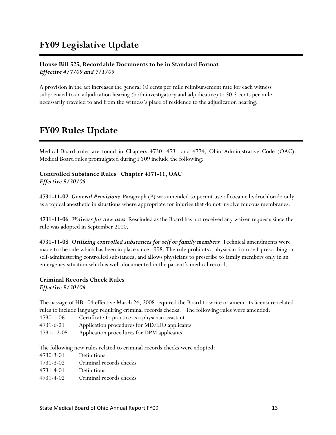#### **House Bill 525, Recordable Documents to be in Standard Format**  *Effective 4/7/09 and 7/1/09*

A provision in the act increases the general 10 cents per mile reimbursement rate for each witness subpoenaed to an adjudication hearing (both investigatory and adjudicative) to 50.5 cents per mile necessarily traveled to and from the witness's place of residence to the adjudication hearing.

### **FY09 Rules Update**

Medical Board rules are found in Chapters 4730, 4731 and 4774, Ohio Administrative Code (OAC). Medical Board rules promulgated during FY09 include the following:

#### **Controlled Substance Rules Chapter 4371-11, OAC**  *Effective 9/30/08*

**4731-11-02** *General Provisions*Paragraph (B) was amended to permit use of cocaine hydrochloride only as a topical anesthetic in situations where appropriate for injuries that do not involve mucous membranes.

**4731-11-06** *Waivers for new uses* Rescinded as the Board has not received any waiver requests since the rule was adopted in September 2000.

**4731-11-08** *Utilizing controlled substances for self or family members* Technical amendments were made to the rule which has been in place since 1998. The rule prohibits a physician from self-prescribing or self-administering controlled substances, and allows physicians to prescribe to family members only in an emergency situation which is well-documented in the patient's medical record.

### **Criminal Records Check Rules**

*Effective 9/30/08* 

The passage of HB 104 effective March 24, 2008 required the Board to write or amend its licensure related rules to include language requiring criminal records checks. The following rules were amended:

- 4730-1-06 Certificate to practice as a physician assistant
- 4731-6-21 Application procedures for MD/DO applicants
- 4731-12-05 Application procedures for DPM applicants

The following new rules related to criminal records checks were adopted:

- 4730-3-01 Definitions
- 4730-3-02 Criminal records checks
- 4731-4-01 Definitions
- 4731-4-02 Criminal records checks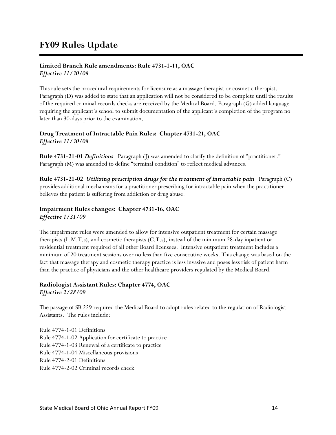#### **Limited Branch Rule amendments: Rule 4731-1-11, OAC**  *Effective 11/30/08*

This rule sets the procedural requirements for licensure as a massage therapist or cosmetic therapist. Paragraph (D) was added to state that an application will not be considered to be complete until the results of the required criminal records checks are received by the Medical Board. Paragraph (G) added language requiring the applicant's school to submit documentation of the applicant's completion of the program no later than 30-days prior to the examination.

### **Drug Treatment of Intractable Pain Rules: Chapter 4731-21, OAC**  *Effective 11/30/08*

**Rule 4731-21-01** *Definitions* Paragraph (J) was amended to clarify the definition of "practitioner." Paragraph (M) was amended to define "terminal condition" to reflect medical advances.

**Rule 4731-21-02** *Utilizing prescription drugs for the treatment of intractable pain* Paragraph (C) provides additional mechanisms for a practitioner prescribing for intractable pain when the practitioner believes the patient is suffering from addiction or drug abuse.

#### **Impairment Rules changes: Chapter 4731-16, OAC**  *Effective 1/31/09*

The impairment rules were amended to allow for intensive outpatient treatment for certain massage therapists (L.M.T.s), and cosmetic therapists (C.T.s), instead of the minimum 28-day inpatient or residential treatment required of all other Board licensees. Intensive outpatient treatment includes a minimum of 20 treatment sessions over no less than five consecutive weeks. This change was based on the fact that massage therapy and cosmetic therapy practice is less invasive and poses less risk of patient harm than the practice of physicians and the other healthcare providers regulated by the Medical Board.

#### **Radiologist Assistant Rules: Chapter 4774, OAC** *Effective 2/28/09*

The passage of SB 229 required the Medical Board to adopt rules related to the regulation of Radiologist Assistants. The rules include:

Rule 4774-1-01 Definitions Rule 4774-1-02 Application for certificate to practice Rule 4774-1-03 Renewal of a certificate to practice Rule 4774-1-04 Miscellaneous provisions Rule 4774-2-01 Definitions Rule 4774-2-02 Criminal records check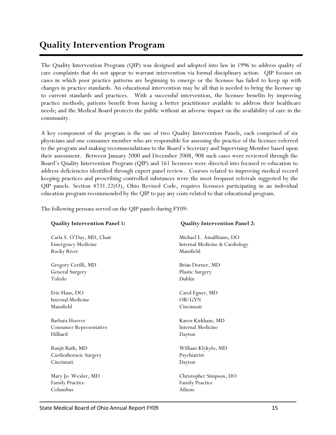### **Quality Intervention Program**

The Quality Intervention Program (QIP) was designed and adopted into law in 1996 to address quality of care complaints that do not appear to warrant intervention via formal disciplinary action. QIP focuses on cases in which poor practice patterns are beginning to emerge or the licensee has failed to keep up with changes in practice standards. An educational intervention may be all that is needed to bring the licensee up to current standards and practices. With a successful intervention, the licensee benefits by improving practice methods; patients benefit from having a better practitioner available to address their healthcare needs; and the Medical Board protects the public without an adverse impact on the availability of care in the community.

A key component of the program is the use of two Quality Intervention Panels, each comprised of six physicians and one consumer member who are responsible for assessing the practice of the licensee referred to the program and making recommendations to the Board's Secretary and Supervising Member based upon their assessment. Between January 2000 and December 2008, 908 such cases were reviewed through the Board's Quality Intervention Program (QIP) and 161 licensees were directed into focused re-education to address deficiencies identified through expert panel review. Courses related to improving medical record keeping practices and prescribing controlled substances were the most frequent referrals suggested by the QIP panels. Section 4731.22(O), Ohio Revised Code, requires licensees participating in an individual education program recommended by the QIP to pay any costs related to that educational program.

The following persons served on the QIP panels during FY09:

| <b>Quality Intervention Panel 1:</b>                   | <b>Quality Intervention Panel 2:</b>                        |  |  |
|--------------------------------------------------------|-------------------------------------------------------------|--|--|
| Carla S. O'Day, MD, Chair<br><b>Emergency Medicine</b> | Michael L. Amalfitano, DO<br>Internal Medicine & Cardiology |  |  |
| Rocky River                                            | Mansfield                                                   |  |  |
| Gregory Cerilli, MD                                    | Brian Dorner, MD                                            |  |  |
| General Surgery                                        | Plastic Surgery                                             |  |  |
| Toledo                                                 | Dublin                                                      |  |  |
| Eric Haus, DO                                          | Carol Egner, MD                                             |  |  |
| Internal Medicine                                      | OB/GYN                                                      |  |  |
| Mansfield                                              | Cincinnati                                                  |  |  |
| Barbara Hoover                                         | Karen Kirkham, MD                                           |  |  |
| <b>Consumer Representative</b>                         | <b>Internal Medicine</b>                                    |  |  |
| Hilliard                                               | Dayton                                                      |  |  |
| Ranjit Rath, MD                                        | William Klykylo, MD                                         |  |  |
| Cardiothoracic Surgery                                 | Psychiatrist                                                |  |  |
| Cincinnati                                             | Dayton                                                      |  |  |
| Mary Jo Wexler, MD                                     | Christopher Simpson, DO                                     |  |  |
| <b>Family Practice</b>                                 | Family Practice                                             |  |  |
| Columbus                                               | Athens                                                      |  |  |
|                                                        |                                                             |  |  |

### ֺ֝֡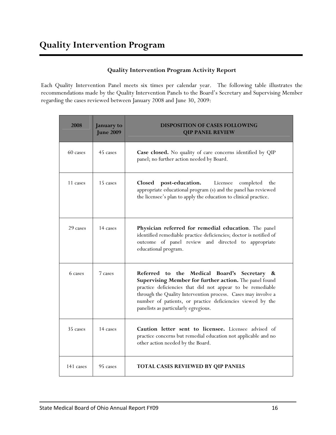### **Quality Intervention Program Activity Report**

Each Quality Intervention Panel meets six times per calendar year. The following table illustrates the recommendations made by the Quality Intervention Panels to the Board's Secretary and Supervising Member regarding the cases reviewed between January 2008 and June 30, 2009:

| 2008      | <b>January to</b><br><b>June 2009</b> | <b>DISPOSITION OF CASES FOLLOWING</b><br><b>QIP PANEL REVIEW</b>                                                                                                                                                                                                                                                                           |
|-----------|---------------------------------------|--------------------------------------------------------------------------------------------------------------------------------------------------------------------------------------------------------------------------------------------------------------------------------------------------------------------------------------------|
| 60 cases  | 45 cases                              | Case closed. No quality of care concerns identified by QIP<br>panel; no further action needed by Board.                                                                                                                                                                                                                                    |
| 11 cases  | 15 cases                              | <b>Closed</b><br>post-education.<br>Licensee<br>completed<br>the<br>appropriate educational program (s) and the panel has reviewed<br>the licensee's plan to apply the education to clinical practice.                                                                                                                                     |
| 29 cases  | 14 cases                              | Physician referred for remedial education. The panel<br>identified remediable practice deficiencies; doctor is notified of<br>outcome of panel review and directed to appropriate<br>educational program.                                                                                                                                  |
| 6 cases   | 7 cases                               | Referred to the Medical Board's Secretary &<br>Supervising Member for further action. The panel found<br>practice deficiencies that did not appear to be remediable<br>through the Quality Intervention process. Cases may involve a<br>number of patients, or practice deficiencies viewed by the<br>panelists as particularly egregious. |
| 35 cases  | 14 cases                              | Caution letter sent to licensee. Licensee advised of<br>practice concerns but remedial education not applicable and no<br>other action needed by the Board.                                                                                                                                                                                |
| 141 cases | 95 cases                              | <b>TOTAL CASES REVIEWED BY QIP PANELS</b>                                                                                                                                                                                                                                                                                                  |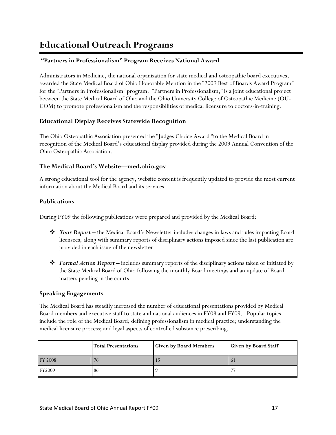### **Educational Outreach Programs**

### **"Partners in Professionalism" Program Receives National Award**

Administrators in Medicine, the national organization for state medical and osteopathic board executives, awarded the State Medical Board of Ohio Honorable Mention in the "2009 Best of Boards Award Program" for the "Partners in Professionalism" program. "Partners in Professionalism," is a joint educational project between the State Medical Board of Ohio and the Ohio University College of Osteopathic Medicine (OU-COM) to promote professionalism and the responsibilities of medical licensure to doctors-in-training.

### **Educational Display Receives Statewide Recognition**

The Ohio Osteopathic Association presented the "Judges Choice Award "to the Medical Board in recognition of the Medical Board's educational display provided during the 2009 Annual Convention of the Ohio Osteopathic Association.

### **The Medical Board's Website—med.ohio.gov**

A strong educational tool for the agency, website content is frequently updated to provide the most current information about the Medical Board and its services.

#### **Publications**

During FY09 the following publications were prepared and provided by the Medical Board:

- *Your Report* the Medical Board's Newsletter includes changes in laws and rules impacting Board licensees, along with summary reports of disciplinary actions imposed since the last publication are provided in each issue of the newsletter
- *Formal Action Report –* includes summary reports of the disciplinary actions taken or initiated by the State Medical Board of Ohio following the monthly Board meetings and an update of Board matters pending in the courts

#### **Speaking Engagements**

The Medical Board has steadily increased the number of educational presentations provided by Medical Board members and executive staff to state and national audiences in FY08 and FY09. Popular topics include the role of the Medical Board; defining professionalism in medical practice; understanding the medical licensure process; and legal aspects of controlled substance prescribing.

|                | <b>Total Presentations</b> | <b>Given by Board Members</b> | <b>Given by Board Staff</b> |
|----------------|----------------------------|-------------------------------|-----------------------------|
| <b>FY 2008</b> | 76                         |                               | -61                         |
| <b>FY2009</b>  | 86                         |                               | 77                          |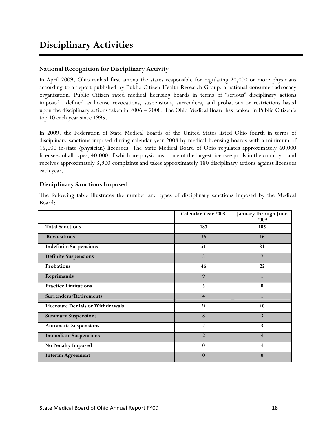### **Disciplinary Activities**

#### **National Recognition for Disciplinary Activity**

In April 2009, Ohio ranked first among the states responsible for regulating 20,000 or more physicians according to a report published by Public Citizen Health Research Group, a national consumer advocacy organization. Public Citizen rated medical licensing boards in terms of "serious" disciplinary actions imposed—defined as license revocations, suspensions, surrenders, and probations or restrictions based upon the disciplinary actions taken in 2006 – 2008. The Ohio Medical Board has ranked in Public Citizen's top 10 each year since 1995.

In 2009, the Federation of State Medical Boards of the United States listed Ohio fourth in terms of disciplinary sanctions imposed during calendar year 2008 by medical licensing boards with a minimum of 15,000 in-state (physician) licensees. The State Medical Board of Ohio regulates approximately 60,000 licensees of all types, 40,000 of which are physicians—one of the largest licensee pools in the country—and receives approximately 3,900 complaints and takes approximately 180 disciplinary actions against licensees each year.

#### **Disciplinary Sanctions Imposed**

| Board:                                  |                           |                              |
|-----------------------------------------|---------------------------|------------------------------|
|                                         | <b>Calendar Year 2008</b> | January through June<br>2009 |
| <b>Total Sanctions</b>                  | 187                       | 105                          |
| <b>Revocations</b>                      | 36                        | 16                           |
| <b>Indefinite Suspensions</b>           | 51                        | 31                           |
| <b>Definite Suspensions</b>             | $\overline{\mathbf{3}}$   | $\overline{7}$               |
| <b>Probations</b>                       | 46                        | 25                           |
| Reprimands                              | 9                         | $\mathbf{1}$                 |
| <b>Practice Limitations</b>             | 5                         | $\bf{0}$                     |
| <b>Surrenders/Retirements</b>           | $\overline{4}$            | $\mathbf{1}$                 |
| <b>Licensure Denials or Withdrawals</b> | 21                        | 10                           |
| <b>Summary Suspensions</b>              | 8                         | $\overline{\mathbf{3}}$      |
| <b>Automatic Suspensions</b>            | $\overline{2}$            | 3                            |
| <b>Immediate Suspensions</b>            | $\overline{2}$            | $\overline{\mathbf{4}}$      |
| No Penalty Imposed                      | $\mathbf{0}$              | 4                            |
| <b>Interim Agreement</b>                | $\bf{0}$                  | $\bf{0}$                     |

The following table illustrates the number and types of disciplinary sanctions imposed by the Medical Board: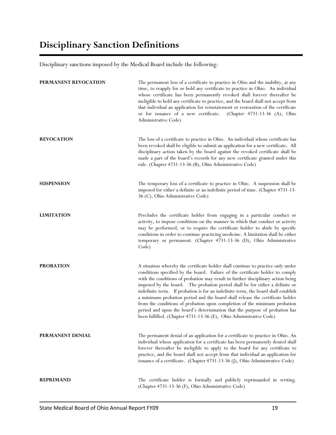### **Disciplinary Sanction Definitions**

Disciplinary sanctions imposed by the Medical Board include the following:

| PERMANENT REVOCATION | The permanent loss of a certificate to practice in Ohio and the inability, at any<br>time, to reapply for or hold any certificate to practice in Ohio. An individual<br>whose certificate has been permanently revoked shall forever thereafter be<br>ineligible to hold any certificate to practice, and the board shall not accept from<br>that individual an application for reinstatement or restoration of the certificate<br>or for issuance of a new certificate.<br>(Chapter 4731-13-36 (A), Ohio<br>Administrative Code)                                                                                                                                                                                                               |
|----------------------|-------------------------------------------------------------------------------------------------------------------------------------------------------------------------------------------------------------------------------------------------------------------------------------------------------------------------------------------------------------------------------------------------------------------------------------------------------------------------------------------------------------------------------------------------------------------------------------------------------------------------------------------------------------------------------------------------------------------------------------------------|
| <b>REVOCATION</b>    | The loss of a certificate to practice in Ohio. An individual whose certificate has<br>been revoked shall be eligible to submit an application for a new certificate. All<br>disciplinary action taken by the board against the revoked certificate shall be<br>made a part of the board's records for any new certificate granted under this<br>rule. (Chapter 4731-13-36 (B), Ohio Administrative Code)                                                                                                                                                                                                                                                                                                                                        |
| <b>SUSPENSION</b>    | The temporary loss of a certificate to practice in Ohio. A suspension shall be<br>imposed for either a definite or an indefinite period of time. (Chapter 4731-13-<br>36 (C), Ohio Administrative Code)                                                                                                                                                                                                                                                                                                                                                                                                                                                                                                                                         |
| <b>LIMITATION</b>    | Precludes the certificate holder from engaging in a particular conduct or<br>activity, to impose conditions on the manner in which that conduct or activity<br>may be performed, or to require the certificate holder to abide by specific<br>conditions in order to continue practicing medicine. A limitation shall be either<br>temporary or permanent. (Chapter 4731-13-36 (D), Ohio Administrative<br>Code)                                                                                                                                                                                                                                                                                                                                |
| <b>PROBATION</b>     | A situation whereby the certificate holder shall continue to practice only under<br>conditions specified by the board. Failure of the certificate holder to comply<br>with the conditions of probation may result in further disciplinary action being<br>imposed by the board. The probation period shall be for either a definite or<br>indefinite term. If probation is for an indefinite term, the board shall establish<br>a minimum probation period and the board shall release the certificate holder<br>from the conditions of probation upon completion of the minimum probation<br>period and upon the board's determination that the purpose of probation has<br>been fulfilled. (Chapter 4731-13-36 (E), Ohio Administrative Code) |
| PERMANENT DENIAL     | The permanent denial of an application for a certificate to practice in Ohio. An<br>individual whose application for a certificate has been permanently denied shall<br>forever thereafter be ineligible to apply to the board for any certificate to<br>practice, and the board shall not accept from that individual an application for<br>issuance of a certificate. (Chapter 4731-13-36 (J), Ohio Administrative Code)                                                                                                                                                                                                                                                                                                                      |
| <b>REPRIMAND</b>     | The certificate holder is formally and publicly reprimanded in writing.<br>(Chapter 4731-13-36 (F), Ohio Administrative Code)                                                                                                                                                                                                                                                                                                                                                                                                                                                                                                                                                                                                                   |